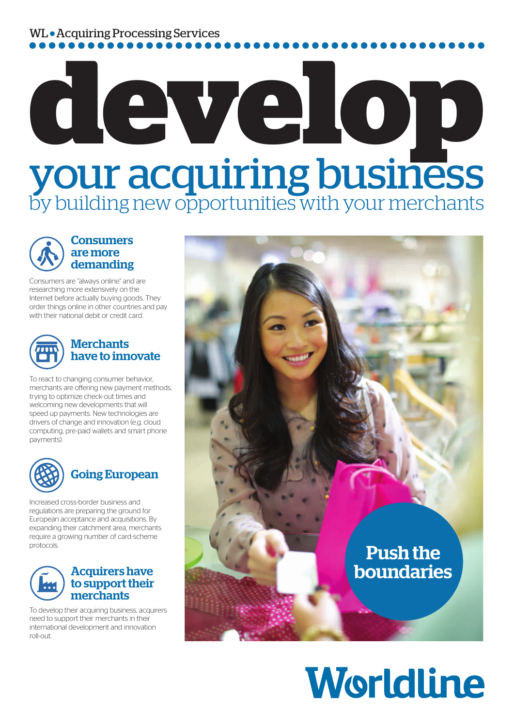# WL • Acquiring Processing Services

# develop by building new opportunities with your merchants

### **Consumers** are more demanding

Consumers are "always online" and are researching more extensively on the Internet before actually buying goods. They order things online in other countries and pay with their national debit or credit card.



### **Merchants** have to innovate

To react to changing consumer behavior, merchants are offering new payment methods, trying to optimize check-out times and welcoming new developments that will speed up payments. New technologies are drivers of change and innovation (e.g. cloud computing, pre-paid wallets and smart phone payments).



# Going European

Increased cross-border business and regulations are preparing the ground for European acceptance and acquisitions. By expanding their catchment area, merchants require a growing number of card-scheme protocols.



#### Acquirers have to support their merchants

To develop their acquiring business, acquirers need to support their merchants in their international development and innovation roll-out.



# Worldline